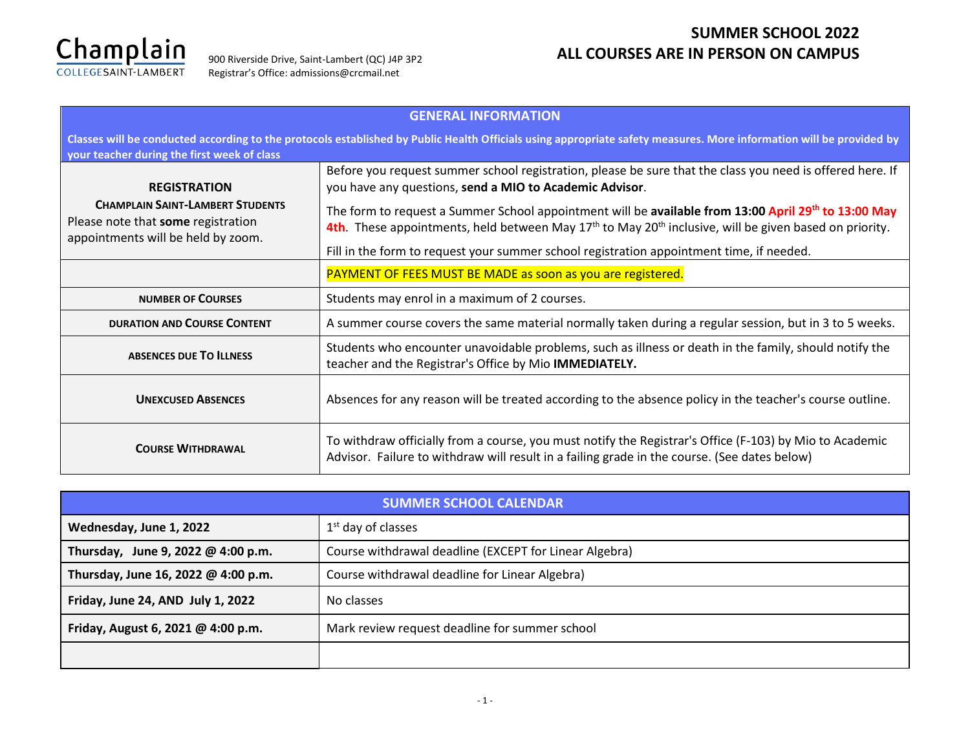

# **SUMMER SCHOOL 2022** 900 Riverside Drive, Saint-Lambert (QC) J4P 3P2 **ALL COURSES ARE IN PERSON ON CAMPUS**

| <b>GENERAL INFORMATION</b>                                                                                                                                                                                         |                                                                                                                                                                                                                                |  |  |  |  |
|--------------------------------------------------------------------------------------------------------------------------------------------------------------------------------------------------------------------|--------------------------------------------------------------------------------------------------------------------------------------------------------------------------------------------------------------------------------|--|--|--|--|
| Classes will be conducted according to the protocols established by Public Health Officials using appropriate safety measures. More information will be provided by<br>your teacher during the first week of class |                                                                                                                                                                                                                                |  |  |  |  |
| <b>REGISTRATION</b><br><b>CHAMPLAIN SAINT-LAMBERT STUDENTS</b><br>Please note that some registration<br>appointments will be held by zoom.                                                                         | Before you request summer school registration, please be sure that the class you need is offered here. If<br>you have any questions, send a MIO to Academic Advisor.                                                           |  |  |  |  |
|                                                                                                                                                                                                                    | The form to request a Summer School appointment will be available from 13:00 April 29 <sup>th</sup> to 13:00 May<br>4th. These appointments, held between May $17th$ to May $20th$ inclusive, will be given based on priority. |  |  |  |  |
|                                                                                                                                                                                                                    | Fill in the form to request your summer school registration appointment time, if needed.                                                                                                                                       |  |  |  |  |
|                                                                                                                                                                                                                    | PAYMENT OF FEES MUST BE MADE as soon as you are registered.                                                                                                                                                                    |  |  |  |  |
| <b>NUMBER OF COURSES</b>                                                                                                                                                                                           | Students may enrol in a maximum of 2 courses.                                                                                                                                                                                  |  |  |  |  |
| <b>DURATION AND COURSE CONTENT</b>                                                                                                                                                                                 | A summer course covers the same material normally taken during a regular session, but in 3 to 5 weeks.                                                                                                                         |  |  |  |  |
| <b>ABSENCES DUE TO ILLNESS</b>                                                                                                                                                                                     | Students who encounter unavoidable problems, such as illness or death in the family, should notify the<br>teacher and the Registrar's Office by Mio IMMEDIATELY.                                                               |  |  |  |  |
| <b>UNEXCUSED ABSENCES</b>                                                                                                                                                                                          | Absences for any reason will be treated according to the absence policy in the teacher's course outline.                                                                                                                       |  |  |  |  |
| <b>COURSE WITHDRAWAL</b>                                                                                                                                                                                           | To withdraw officially from a course, you must notify the Registrar's Office (F-103) by Mio to Academic<br>Advisor. Failure to withdraw will result in a failing grade in the course. (See dates below)                        |  |  |  |  |

| <b>SUMMER SCHOOL CALENDAR</b>       |                                                        |  |  |  |
|-------------------------------------|--------------------------------------------------------|--|--|--|
| Wednesday, June 1, 2022             | $1st$ day of classes                                   |  |  |  |
| Thursday, June 9, 2022 @ 4:00 p.m.  | Course withdrawal deadline (EXCEPT for Linear Algebra) |  |  |  |
| Thursday, June 16, 2022 @ 4:00 p.m. | Course withdrawal deadline for Linear Algebra)         |  |  |  |
| Friday, June 24, AND July 1, 2022   | No classes                                             |  |  |  |
| Friday, August 6, 2021 @ 4:00 p.m.  | Mark review request deadline for summer school         |  |  |  |
|                                     |                                                        |  |  |  |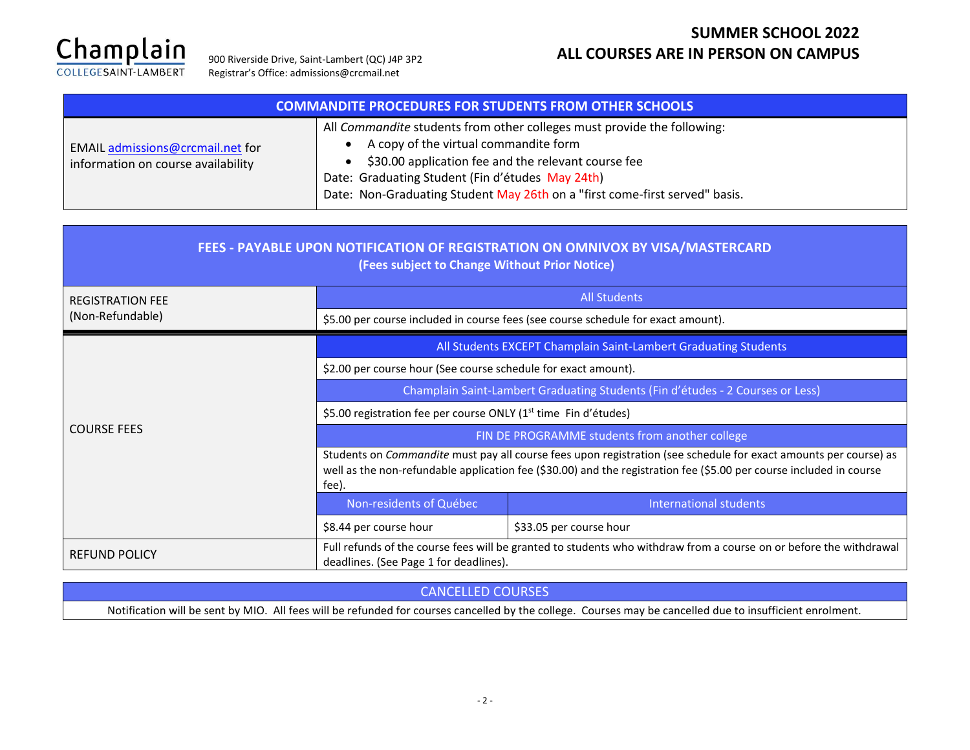

Registrar's Office: admissions@crcmail.net

### **SUMMER SCHOOL 2022** 900 Riverside Drive, Saint-Lambert (QC) J4P 3P2 **ALL COURSES ARE IN PERSON ON CAMPUS**

| <b>COMMANDITE PROCEDURES FOR STUDENTS FROM OTHER SCHOOLS</b>           |                                                                                                                                                                                                                                                                                                              |  |  |  |
|------------------------------------------------------------------------|--------------------------------------------------------------------------------------------------------------------------------------------------------------------------------------------------------------------------------------------------------------------------------------------------------------|--|--|--|
| EMAIL admissions@crcmail.net for<br>information on course availability | All Commandite students from other colleges must provide the following:<br>• A copy of the virtual commandite form<br>\$30.00 application fee and the relevant course fee<br>Date: Graduating Student (Fin d'études May 24th)<br>Date: Non-Graduating Student May 26th on a "first come-first served" basis. |  |  |  |

| FEES - PAYABLE UPON NOTIFICATION OF REGISTRATION ON OMNIVOX BY VISA/MASTERCARD<br>(Fees subject to Change Without Prior Notice) |                                                                                                                                                                                                                                                  |                         |  |  |
|---------------------------------------------------------------------------------------------------------------------------------|--------------------------------------------------------------------------------------------------------------------------------------------------------------------------------------------------------------------------------------------------|-------------------------|--|--|
| <b>REGISTRATION FEE</b><br>(Non-Refundable)                                                                                     | <b>All Students</b>                                                                                                                                                                                                                              |                         |  |  |
|                                                                                                                                 | \$5.00 per course included in course fees (see course schedule for exact amount).                                                                                                                                                                |                         |  |  |
| <b>COURSE FEES</b>                                                                                                              | All Students EXCEPT Champlain Saint-Lambert Graduating Students                                                                                                                                                                                  |                         |  |  |
|                                                                                                                                 | \$2.00 per course hour (See course schedule for exact amount).                                                                                                                                                                                   |                         |  |  |
|                                                                                                                                 | Champlain Saint-Lambert Graduating Students (Fin d'études - 2 Courses or Less)                                                                                                                                                                   |                         |  |  |
|                                                                                                                                 | \$5.00 registration fee per course ONLY (1 <sup>st</sup> time Fin d'études)                                                                                                                                                                      |                         |  |  |
|                                                                                                                                 | FIN DE PROGRAMME students from another college                                                                                                                                                                                                   |                         |  |  |
|                                                                                                                                 | Students on Commandite must pay all course fees upon registration (see schedule for exact amounts per course) as<br>well as the non-refundable application fee (\$30.00) and the registration fee (\$5.00 per course included in course<br>fee). |                         |  |  |
|                                                                                                                                 | Non-residents of Québec                                                                                                                                                                                                                          | International students  |  |  |
|                                                                                                                                 | \$8.44 per course hour                                                                                                                                                                                                                           | \$33.05 per course hour |  |  |
| <b>REFUND POLICY</b>                                                                                                            | Full refunds of the course fees will be granted to students who withdraw from a course on or before the withdrawal<br>deadlines. (See Page 1 for deadlines).                                                                                     |                         |  |  |

### CANCELLED COURSES

Notification will be sent by MIO. All fees will be refunded for courses cancelled by the college. Courses may be cancelled due to insufficient enrolment.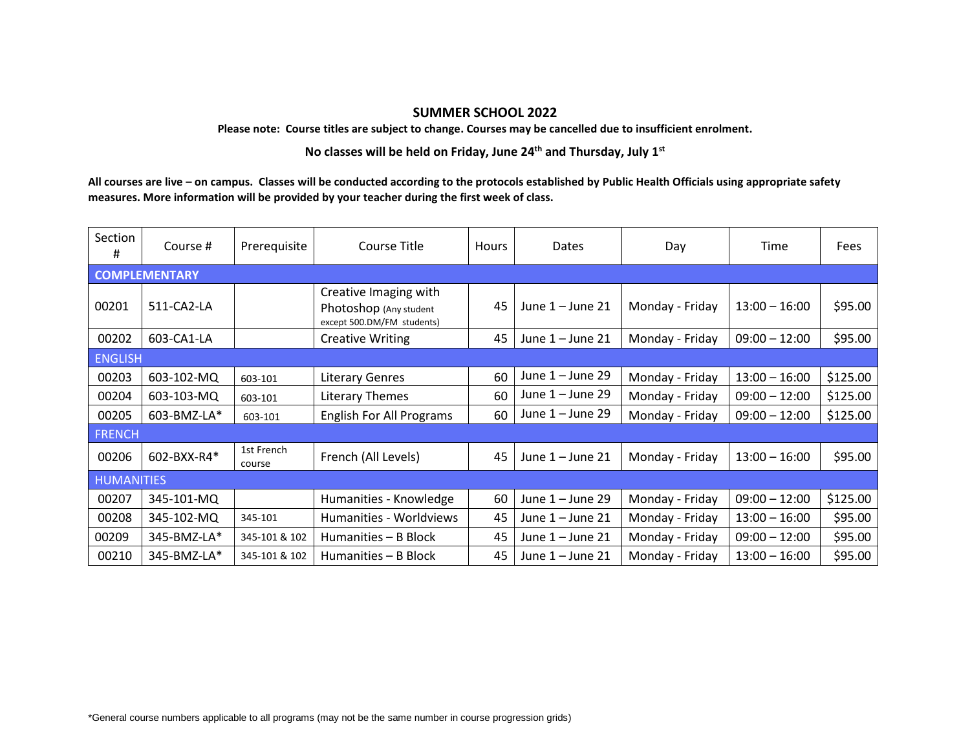#### **SUMMER SCHOOL 2022**

**Please note: Course titles are subject to change. Courses may be cancelled due to insufficient enrolment.**

**No classes will be held on Friday, June 24 th and Thursday, July 1 st**

**All courses are live – on campus. Classes will be conducted according to the protocols established by Public Health Officials using appropriate safety measures. More information will be provided by your teacher during the first week of class.**

| Section<br>#                                                                                                                                                                                                                                                                                                                                                                                                                                                                                                                                                                                                                                                                                                                                   | Course #    | Prerequisite         | Course Title            | <b>Hours</b> | <b>Dates</b>       | Day             | Time            | Fees     |
|------------------------------------------------------------------------------------------------------------------------------------------------------------------------------------------------------------------------------------------------------------------------------------------------------------------------------------------------------------------------------------------------------------------------------------------------------------------------------------------------------------------------------------------------------------------------------------------------------------------------------------------------------------------------------------------------------------------------------------------------|-------------|----------------------|-------------------------|--------------|--------------------|-----------------|-----------------|----------|
| <b>COMPLEMENTARY</b><br>Creative Imaging with<br>511-CA2-LA<br>00201<br>45<br>June $1 -$ June 21<br>Monday - Friday<br>$13:00 - 16:00$<br>Photoshop (Any student<br>except 500.DM/FM students)<br>00202<br>603-CA1-LA<br>45<br>$09:00 - 12:00$<br>Monday - Friday<br><b>Creative Writing</b><br>June $1 -$ June 21<br><b>ENGLISH</b><br>June $1 -$ June 29<br>60<br>00203<br>Monday - Friday<br>$13:00 - 16:00$<br>603-102-MQ<br><b>Literary Genres</b><br>603-101<br>June $1 -$ June 29<br>Monday - Friday<br>00204<br>603-103-MQ<br><b>Literary Themes</b><br>60<br>$09:00 - 12:00$<br>603-101<br>June $1 -$ June 29<br><b>English For All Programs</b><br>60<br>Monday - Friday<br>$09:00 - 12:00$<br>00205<br>$603$ -BMZ-LA $*$<br>603-101 |             |                      |                         |              |                    |                 |                 |          |
|                                                                                                                                                                                                                                                                                                                                                                                                                                                                                                                                                                                                                                                                                                                                                |             |                      |                         |              |                    |                 |                 | \$95.00  |
|                                                                                                                                                                                                                                                                                                                                                                                                                                                                                                                                                                                                                                                                                                                                                |             |                      |                         |              |                    |                 |                 | \$95.00  |
|                                                                                                                                                                                                                                                                                                                                                                                                                                                                                                                                                                                                                                                                                                                                                |             |                      |                         |              |                    |                 |                 |          |
|                                                                                                                                                                                                                                                                                                                                                                                                                                                                                                                                                                                                                                                                                                                                                |             |                      |                         |              |                    |                 |                 | \$125.00 |
|                                                                                                                                                                                                                                                                                                                                                                                                                                                                                                                                                                                                                                                                                                                                                |             |                      |                         |              |                    |                 |                 | \$125.00 |
|                                                                                                                                                                                                                                                                                                                                                                                                                                                                                                                                                                                                                                                                                                                                                |             |                      |                         |              |                    |                 |                 | \$125.00 |
| <b>FRENCH</b>                                                                                                                                                                                                                                                                                                                                                                                                                                                                                                                                                                                                                                                                                                                                  |             |                      |                         |              |                    |                 |                 |          |
| 00206                                                                                                                                                                                                                                                                                                                                                                                                                                                                                                                                                                                                                                                                                                                                          | 602-BXX-R4* | 1st French<br>course | French (All Levels)     | 45           | June $1 -$ June 21 | Monday - Friday | $13:00 - 16:00$ | \$95.00  |
| <b>HUMANITIES</b>                                                                                                                                                                                                                                                                                                                                                                                                                                                                                                                                                                                                                                                                                                                              |             |                      |                         |              |                    |                 |                 |          |
| 00207                                                                                                                                                                                                                                                                                                                                                                                                                                                                                                                                                                                                                                                                                                                                          | 345-101-MQ  |                      | Humanities - Knowledge  | 60           | June $1 -$ June 29 | Monday - Friday | $09:00 - 12:00$ | \$125.00 |
| 00208                                                                                                                                                                                                                                                                                                                                                                                                                                                                                                                                                                                                                                                                                                                                          | 345-102-MQ  | 345-101              | Humanities - Worldviews | 45           | June 1 - June 21   | Monday - Friday | $13:00 - 16:00$ | \$95.00  |
| 00209                                                                                                                                                                                                                                                                                                                                                                                                                                                                                                                                                                                                                                                                                                                                          | 345-BMZ-LA* | 345-101 & 102        | Humanities - B Block    | 45           | June $1 -$ June 21 | Monday - Friday | $09:00 - 12:00$ | \$95.00  |
| 00210                                                                                                                                                                                                                                                                                                                                                                                                                                                                                                                                                                                                                                                                                                                                          | 345-BMZ-LA* | 345-101 & 102        | Humanities - B Block    | 45           | June $1 -$ June 21 | Monday - Friday | $13:00 - 16:00$ | \$95.00  |